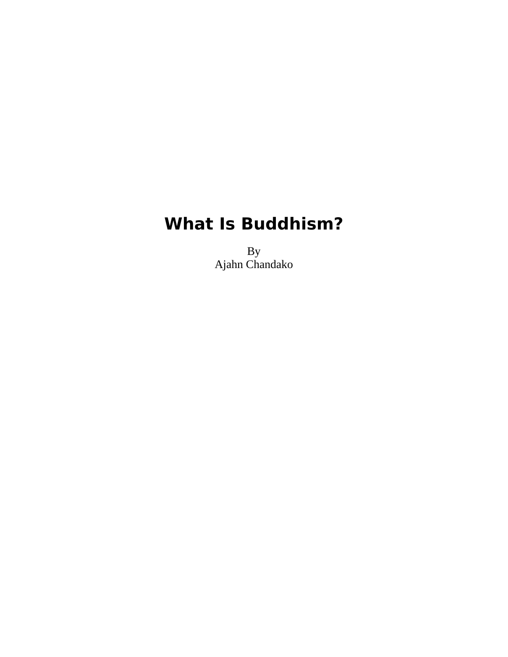# **What Is Buddhism?**

By Ajahn Chandako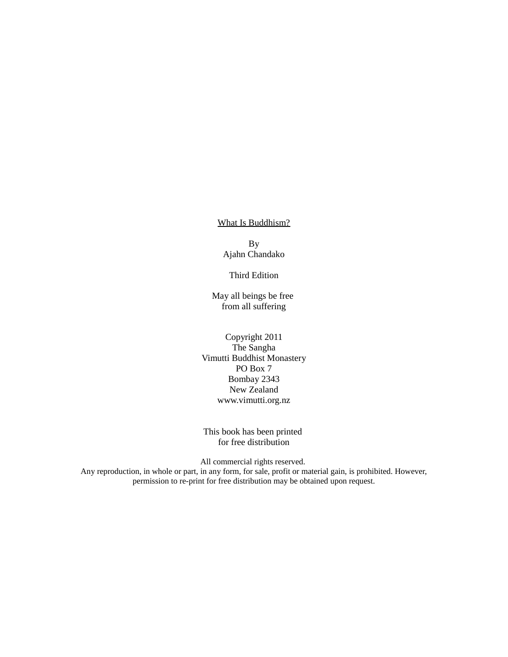What Is Buddhism?

By Ajahn Chandako

Third Edition

May all beings be free from all suffering

Copyright 2011 The Sangha Vimutti Buddhist Monastery PO Box 7 Bombay 2343 New Zealand www.vimutti.org.nz

This book has been printed for free distribution

All commercial rights reserved.

Any reproduction, in whole or part, in any form, for sale, profit or material gain, is prohibited. However, permission to re-print for free distribution may be obtained upon request.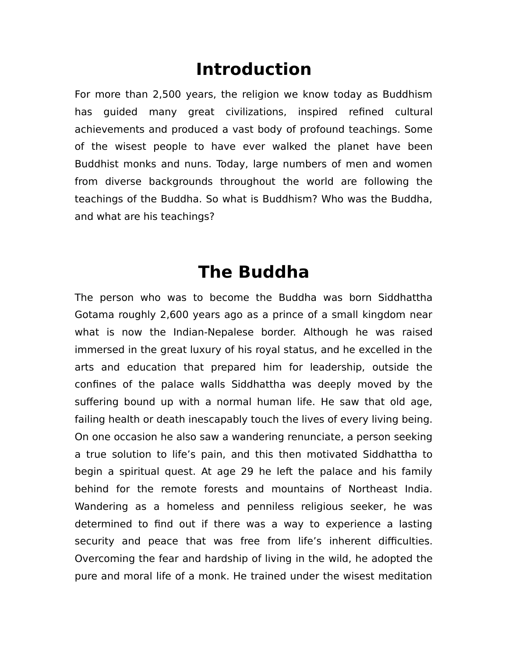#### **Introduction**

For more than 2,500 years, the religion we know today as Buddhism has guided many great civilizations, inspired refined cultural achievements and produced a vast body of profound teachings. Some of the wisest people to have ever walked the planet have been Buddhist monks and nuns. Today, large numbers of men and women from diverse backgrounds throughout the world are following the teachings of the Buddha. So what is Buddhism? Who was the Buddha, and what are his teachings?

## **The Buddha**

The person who was to become the Buddha was born Siddhattha Gotama roughly 2,600 years ago as a prince of a small kingdom near what is now the Indian-Nepalese border. Although he was raised immersed in the great luxury of his royal status, and he excelled in the arts and education that prepared him for leadership, outside the confines of the palace walls Siddhattha was deeply moved by the suffering bound up with a normal human life. He saw that old age, failing health or death inescapably touch the lives of every living being. On one occasion he also saw a wandering renunciate, a person seeking a true solution to life's pain, and this then motivated Siddhattha to begin a spiritual quest. At age 29 he left the palace and his family behind for the remote forests and mountains of Northeast India. Wandering as a homeless and penniless religious seeker, he was determined to find out if there was a way to experience a lasting security and peace that was free from life's inherent difficulties. Overcoming the fear and hardship of living in the wild, he adopted the pure and moral life of a monk. He trained under the wisest meditation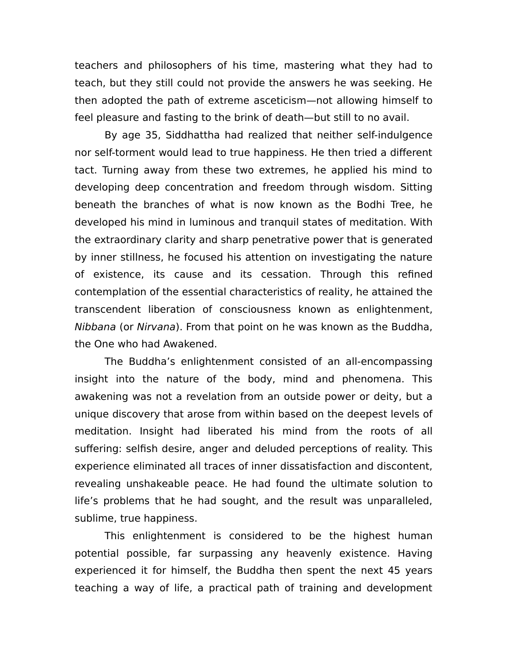teachers and philosophers of his time, mastering what they had to teach, but they still could not provide the answers he was seeking. He then adopted the path of extreme asceticism—not allowing himself to feel pleasure and fasting to the brink of death—but still to no avail.

By age 35, Siddhattha had realized that neither self-indulgence nor self-torment would lead to true happiness. He then tried a different tact. Turning away from these two extremes, he applied his mind to developing deep concentration and freedom through wisdom. Sitting beneath the branches of what is now known as the Bodhi Tree, he developed his mind in luminous and tranquil states of meditation. With the extraordinary clarity and sharp penetrative power that is generated by inner stillness, he focused his attention on investigating the nature of existence, its cause and its cessation. Through this refined contemplation of the essential characteristics of reality, he attained the transcendent liberation of consciousness known as enlightenment, Nibbana (or Nirvana). From that point on he was known as the Buddha, the One who had Awakened.

The Buddha's enlightenment consisted of an all-encompassing insight into the nature of the body, mind and phenomena. This awakening was not a revelation from an outside power or deity, but a unique discovery that arose from within based on the deepest levels of meditation. Insight had liberated his mind from the roots of all suffering: selfish desire, anger and deluded perceptions of reality. This experience eliminated all traces of inner dissatisfaction and discontent, revealing unshakeable peace. He had found the ultimate solution to life's problems that he had sought, and the result was unparalleled, sublime, true happiness.

This enlightenment is considered to be the highest human potential possible, far surpassing any heavenly existence. Having experienced it for himself, the Buddha then spent the next 45 years teaching a way of life, a practical path of training and development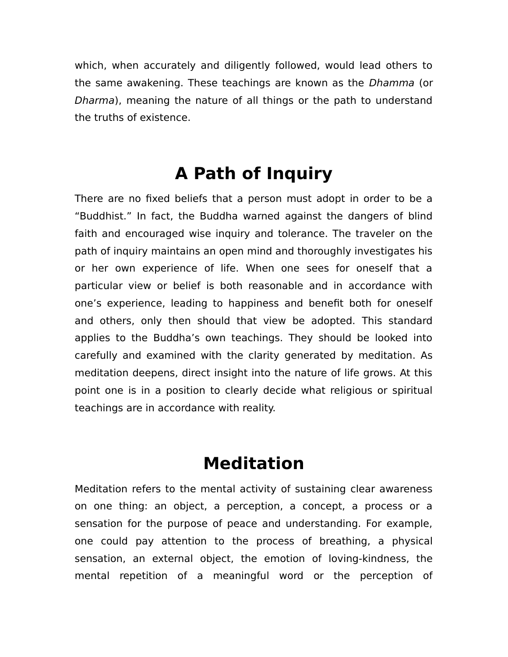which, when accurately and diligently followed, would lead others to the same awakening. These teachings are known as the Dhamma (or Dharma), meaning the nature of all things or the path to understand the truths of existence.

## **A Path of Inquiry**

There are no fixed beliefs that a person must adopt in order to be a "Buddhist." In fact, the Buddha warned against the dangers of blind faith and encouraged wise inquiry and tolerance. The traveler on the path of inquiry maintains an open mind and thoroughly investigates his or her own experience of life. When one sees for oneself that a particular view or belief is both reasonable and in accordance with one's experience, leading to happiness and benefit both for oneself and others, only then should that view be adopted. This standard applies to the Buddha's own teachings. They should be looked into carefully and examined with the clarity generated by meditation. As meditation deepens, direct insight into the nature of life grows. At this point one is in a position to clearly decide what religious or spiritual teachings are in accordance with reality.

#### **Meditation**

Meditation refers to the mental activity of sustaining clear awareness on one thing: an object, a perception, a concept, a process or a sensation for the purpose of peace and understanding. For example, one could pay attention to the process of breathing, a physical sensation, an external object, the emotion of loving-kindness, the mental repetition of a meaningful word or the perception of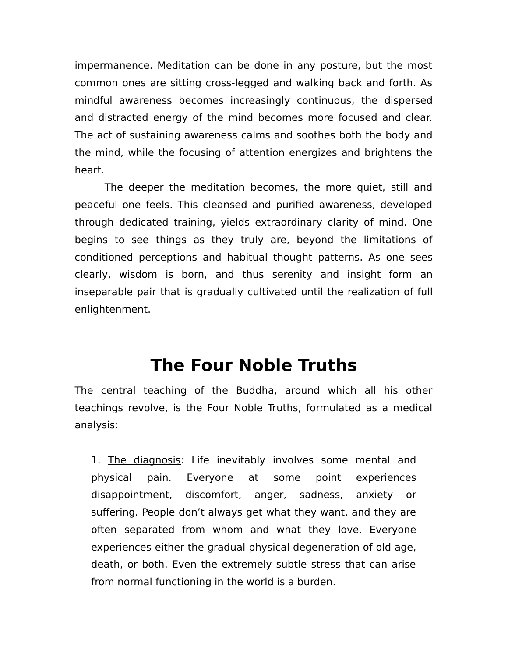impermanence. Meditation can be done in any posture, but the most common ones are sitting cross-legged and walking back and forth. As mindful awareness becomes increasingly continuous, the dispersed and distracted energy of the mind becomes more focused and clear. The act of sustaining awareness calms and soothes both the body and the mind, while the focusing of attention energizes and brightens the heart.

The deeper the meditation becomes, the more quiet, still and peaceful one feels. This cleansed and purified awareness, developed through dedicated training, yields extraordinary clarity of mind. One begins to see things as they truly are, beyond the limitations of conditioned perceptions and habitual thought patterns. As one sees clearly, wisdom is born, and thus serenity and insight form an inseparable pair that is gradually cultivated until the realization of full enlightenment.

#### **The Four Noble Truths**

The central teaching of the Buddha, around which all his other teachings revolve, is the Four Noble Truths, formulated as a medical analysis:

1. The diagnosis: Life inevitably involves some mental and physical pain. Everyone at some point experiences disappointment, discomfort, anger, sadness, anxiety or suffering. People don't always get what they want, and they are often separated from whom and what they love. Everyone experiences either the gradual physical degeneration of old age, death, or both. Even the extremely subtle stress that can arise from normal functioning in the world is a burden.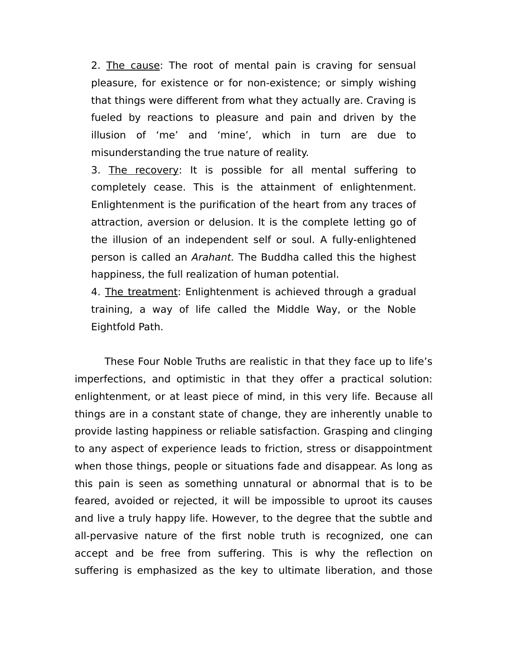2. The cause: The root of mental pain is craving for sensual pleasure, for existence or for non-existence; or simply wishing that things were different from what they actually are. Craving is fueled by reactions to pleasure and pain and driven by the illusion of 'me' and 'mine', which in turn are due to misunderstanding the true nature of reality.

3. The recovery: It is possible for all mental suffering to completely cease. This is the attainment of enlightenment. Enlightenment is the purification of the heart from any traces of attraction, aversion or delusion. It is the complete letting go of the illusion of an independent self or soul. A fully-enlightened person is called an Arahant. The Buddha called this the highest happiness, the full realization of human potential.

4. The treatment: Enlightenment is achieved through a gradual training, a way of life called the Middle Way, or the Noble Eightfold Path.

These Four Noble Truths are realistic in that they face up to life's imperfections, and optimistic in that they offer a practical solution: enlightenment, or at least piece of mind, in this very life. Because all things are in a constant state of change, they are inherently unable to provide lasting happiness or reliable satisfaction. Grasping and clinging to any aspect of experience leads to friction, stress or disappointment when those things, people or situations fade and disappear. As long as this pain is seen as something unnatural or abnormal that is to be feared, avoided or rejected, it will be impossible to uproot its causes and live a truly happy life. However, to the degree that the subtle and all-pervasive nature of the first noble truth is recognized, one can accept and be free from suffering. This is why the reflection on suffering is emphasized as the key to ultimate liberation, and those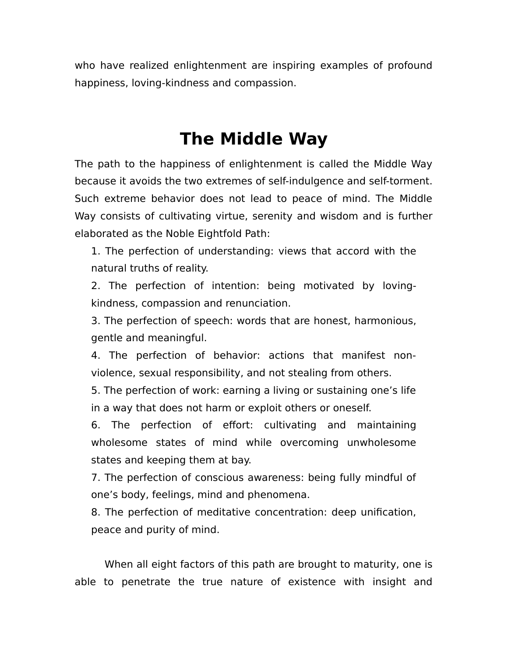who have realized enlightenment are inspiring examples of profound happiness, loving-kindness and compassion.

## **The Middle Way**

The path to the happiness of enlightenment is called the Middle Way because it avoids the two extremes of self-indulgence and self-torment. Such extreme behavior does not lead to peace of mind. The Middle Way consists of cultivating virtue, serenity and wisdom and is further elaborated as the Noble Eightfold Path:

1. The perfection of understanding: views that accord with the natural truths of reality.

2. The perfection of intention: being motivated by lovingkindness, compassion and renunciation.

3. The perfection of speech: words that are honest, harmonious, gentle and meaningful.

4. The perfection of behavior: actions that manifest nonviolence, sexual responsibility, and not stealing from others.

5. The perfection of work: earning a living or sustaining one's life in a way that does not harm or exploit others or oneself.

6. The perfection of effort: cultivating and maintaining wholesome states of mind while overcoming unwholesome states and keeping them at bay.

7. The perfection of conscious awareness: being fully mindful of one's body, feelings, mind and phenomena.

8. The perfection of meditative concentration: deep unification, peace and purity of mind.

When all eight factors of this path are brought to maturity, one is able to penetrate the true nature of existence with insight and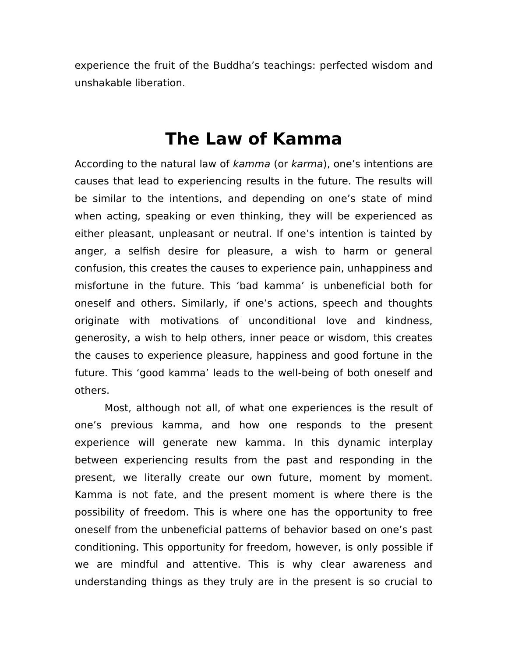experience the fruit of the Buddha's teachings: perfected wisdom and unshakable liberation.

#### **The Law of Kamma**

According to the natural law of kamma (or karma), one's intentions are causes that lead to experiencing results in the future. The results will be similar to the intentions, and depending on one's state of mind when acting, speaking or even thinking, they will be experienced as either pleasant, unpleasant or neutral. If one's intention is tainted by anger, a selfish desire for pleasure, a wish to harm or general confusion, this creates the causes to experience pain, unhappiness and misfortune in the future. This 'bad kamma' is unbeneficial both for oneself and others. Similarly, if one's actions, speech and thoughts originate with motivations of unconditional love and kindness, generosity, a wish to help others, inner peace or wisdom, this creates the causes to experience pleasure, happiness and good fortune in the future. This 'good kamma' leads to the well-being of both oneself and others.

Most, although not all, of what one experiences is the result of one's previous kamma, and how one responds to the present experience will generate new kamma. In this dynamic interplay between experiencing results from the past and responding in the present, we literally create our own future, moment by moment. Kamma is not fate, and the present moment is where there is the possibility of freedom. This is where one has the opportunity to free oneself from the unbeneficial patterns of behavior based on one's past conditioning. This opportunity for freedom, however, is only possible if we are mindful and attentive. This is why clear awareness and understanding things as they truly are in the present is so crucial to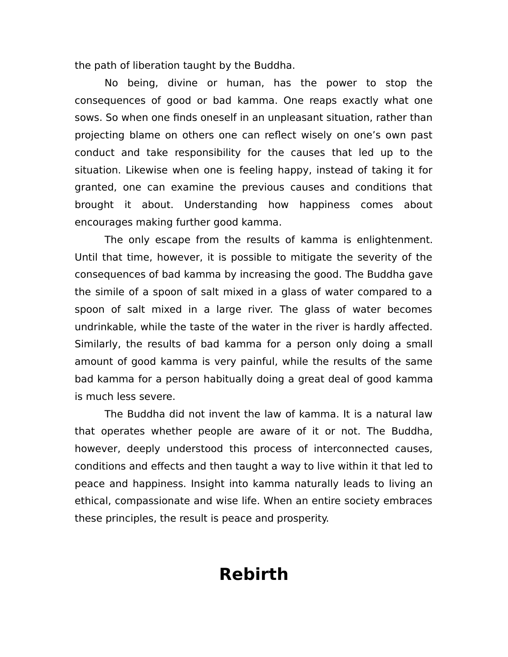the path of liberation taught by the Buddha.

No being, divine or human, has the power to stop the consequences of good or bad kamma. One reaps exactly what one sows. So when one finds oneself in an unpleasant situation, rather than projecting blame on others one can reflect wisely on one's own past conduct and take responsibility for the causes that led up to the situation. Likewise when one is feeling happy, instead of taking it for granted, one can examine the previous causes and conditions that brought it about. Understanding how happiness comes about encourages making further good kamma.

The only escape from the results of kamma is enlightenment. Until that time, however, it is possible to mitigate the severity of the consequences of bad kamma by increasing the good. The Buddha gave the simile of a spoon of salt mixed in a glass of water compared to a spoon of salt mixed in a large river. The glass of water becomes undrinkable, while the taste of the water in the river is hardly affected. Similarly, the results of bad kamma for a person only doing a small amount of good kamma is very painful, while the results of the same bad kamma for a person habitually doing a great deal of good kamma is much less severe.

The Buddha did not invent the law of kamma. It is a natural law that operates whether people are aware of it or not. The Buddha, however, deeply understood this process of interconnected causes, conditions and effects and then taught a way to live within it that led to peace and happiness. Insight into kamma naturally leads to living an ethical, compassionate and wise life. When an entire society embraces these principles, the result is peace and prosperity.

## **Rebirth**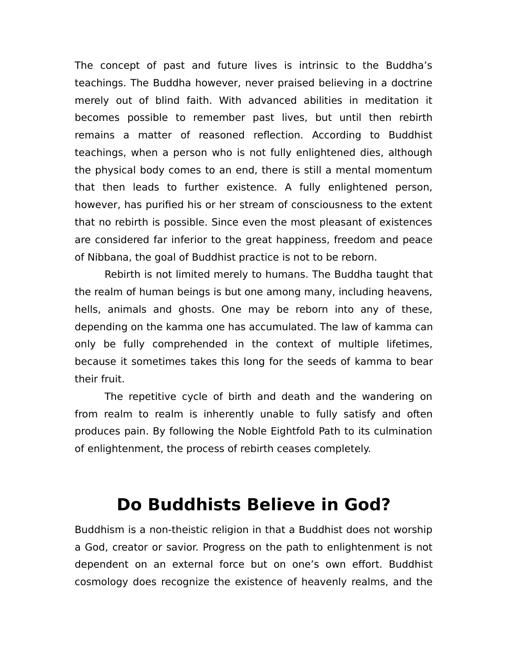The concept of past and future lives is intrinsic to the Buddha's teachings. The Buddha however, never praised believing in a doctrine merely out of blind faith. With advanced abilities in meditation it becomes possible to remember past lives, but until then rebirth remains a matter of reasoned reflection. According to Buddhist teachings, when a person who is not fully enlightened dies, although the physical body comes to an end, there is still a mental momentum that then leads to further existence. A fully enlightened person, however, has purified his or her stream of consciousness to the extent that no rebirth is possible. Since even the most pleasant of existences are considered far inferior to the great happiness, freedom and peace of Nibbana, the goal of Buddhist practice is not to be reborn.

Rebirth is not limited merely to humans. The Buddha taught that the realm of human beings is but one among many, including heavens, hells, animals and ghosts. One may be reborn into any of these, depending on the kamma one has accumulated. The law of kamma can only be fully comprehended in the context of multiple lifetimes, because it sometimes takes this long for the seeds of kamma to bear their fruit.

The repetitive cycle of birth and death and the wandering on from realm to realm is inherently unable to fully satisfy and often produces pain. By following the Noble Eightfold Path to its culmination of enlightenment, the process of rebirth ceases completely.

#### **Do Buddhists Believe in God?**

Buddhism is a non-theistic religion in that a Buddhist does not worship a God, creator or savior. Progress on the path to enlightenment is not dependent on an external force but on one's own effort. Buddhist cosmology does recognize the existence of heavenly realms, and the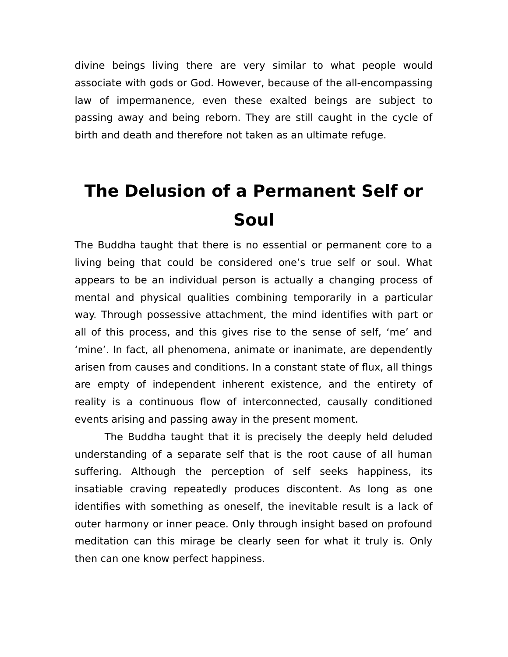divine beings living there are very similar to what people would associate with gods or God. However, because of the all-encompassing law of impermanence, even these exalted beings are subject to passing away and being reborn. They are still caught in the cycle of birth and death and therefore not taken as an ultimate refuge.

# **The Delusion of a Permanent Self or Soul**

The Buddha taught that there is no essential or permanent core to a living being that could be considered one's true self or soul. What appears to be an individual person is actually a changing process of mental and physical qualities combining temporarily in a particular way. Through possessive attachment, the mind identifies with part or all of this process, and this gives rise to the sense of self, 'me' and 'mine'. In fact, all phenomena, animate or inanimate, are dependently arisen from causes and conditions. In a constant state of flux, all things are empty of independent inherent existence, and the entirety of reality is a continuous flow of interconnected, causally conditioned events arising and passing away in the present moment.

The Buddha taught that it is precisely the deeply held deluded understanding of a separate self that is the root cause of all human suffering. Although the perception of self seeks happiness, its insatiable craving repeatedly produces discontent. As long as one identifies with something as oneself, the inevitable result is a lack of outer harmony or inner peace. Only through insight based on profound meditation can this mirage be clearly seen for what it truly is. Only then can one know perfect happiness.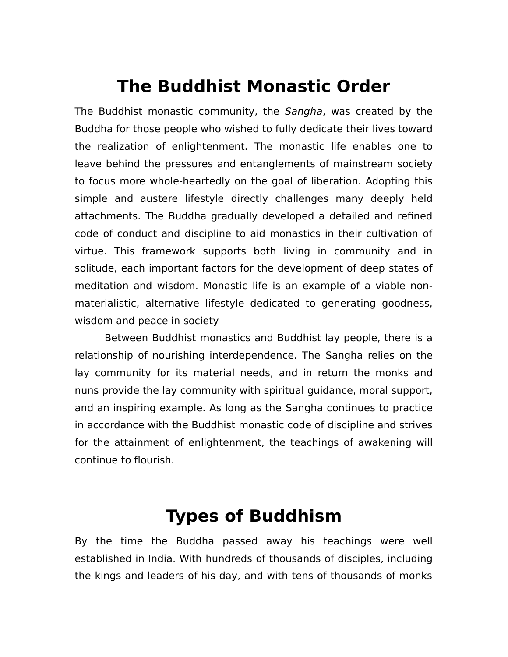### **The Buddhist Monastic Order**

The Buddhist monastic community, the Sangha, was created by the Buddha for those people who wished to fully dedicate their lives toward the realization of enlightenment. The monastic life enables one to leave behind the pressures and entanglements of mainstream society to focus more whole-heartedly on the goal of liberation. Adopting this simple and austere lifestyle directly challenges many deeply held attachments. The Buddha gradually developed a detailed and refined code of conduct and discipline to aid monastics in their cultivation of virtue. This framework supports both living in community and in solitude, each important factors for the development of deep states of meditation and wisdom. Monastic life is an example of a viable nonmaterialistic, alternative lifestyle dedicated to generating goodness, wisdom and peace in society

Between Buddhist monastics and Buddhist lay people, there is a relationship of nourishing interdependence. The Sangha relies on the lay community for its material needs, and in return the monks and nuns provide the lay community with spiritual guidance, moral support, and an inspiring example. As long as the Sangha continues to practice in accordance with the Buddhist monastic code of discipline and strives for the attainment of enlightenment, the teachings of awakening will continue to flourish.

## **Types of Buddhism**

By the time the Buddha passed away his teachings were well established in India. With hundreds of thousands of disciples, including the kings and leaders of his day, and with tens of thousands of monks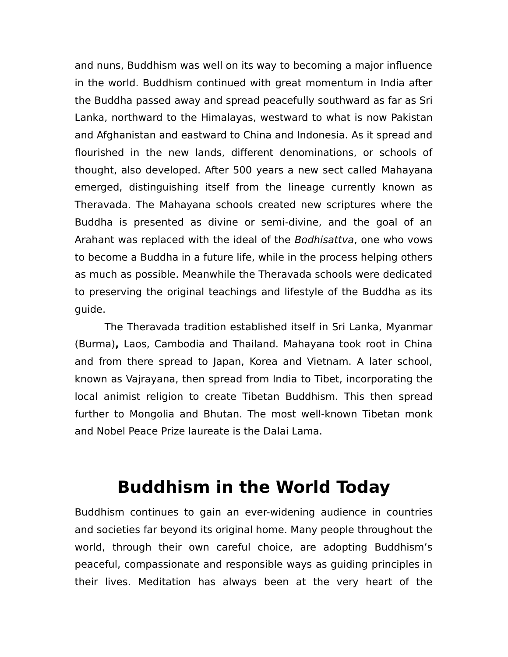and nuns, Buddhism was well on its way to becoming a major influence in the world. Buddhism continued with great momentum in India after the Buddha passed away and spread peacefully southward as far as Sri Lanka, northward to the Himalayas, westward to what is now Pakistan and Afghanistan and eastward to China and Indonesia. As it spread and flourished in the new lands, different denominations, or schools of thought, also developed. After 500 years a new sect called Mahayana emerged, distinguishing itself from the lineage currently known as Theravada. The Mahayana schools created new scriptures where the Buddha is presented as divine or semi-divine, and the goal of an Arahant was replaced with the ideal of the Bodhisattva, one who vows to become a Buddha in a future life, while in the process helping others as much as possible. Meanwhile the Theravada schools were dedicated to preserving the original teachings and lifestyle of the Buddha as its guide.

The Theravada tradition established itself in Sri Lanka, Myanmar (Burma)**,** Laos, Cambodia and Thailand. Mahayana took root in China and from there spread to Japan, Korea and Vietnam. A later school, known as Vajrayana, then spread from India to Tibet, incorporating the local animist religion to create Tibetan Buddhism. This then spread further to Mongolia and Bhutan. The most well-known Tibetan monk and Nobel Peace Prize laureate is the Dalai Lama.

## **Buddhism in the World Today**

Buddhism continues to gain an ever-widening audience in countries and societies far beyond its original home. Many people throughout the world, through their own careful choice, are adopting Buddhism's peaceful, compassionate and responsible ways as guiding principles in their lives. Meditation has always been at the very heart of the